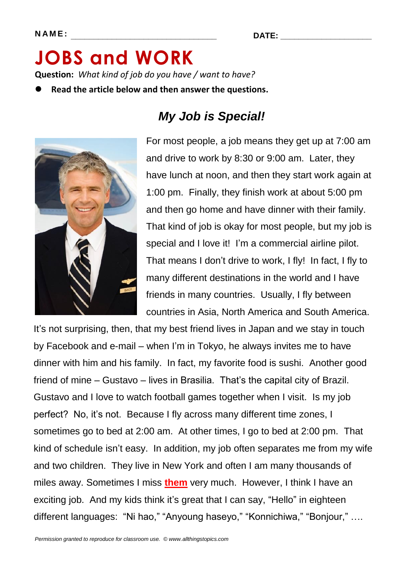# **JOBS and WORK Question:** *What kind of job do you have / want to have?*

**Read the article below and then answer the questions.**



### *My Job is Special!*

For most people, a job means they get up at 7:00 am and drive to work by 8:30 or 9:00 am. Later, they have lunch at noon, and then they start work again at 1:00 pm. Finally, they finish work at about 5:00 pm and then go home and have dinner with their family. That kind of job is okay for most people, but my job is special and I love it! I'm a commercial airline pilot. That means I don't drive to work, I fly! In fact, I fly to many different destinations in the world and I have friends in many countries. Usually, I fly between countries in Asia, North America and South America.

It's not surprising, then, that my best friend lives in Japan and we stay in touch by Facebook and e-mail – when I'm in Tokyo, he always invites me to have dinner with him and his family. In fact, my favorite food is sushi. Another good friend of mine – Gustavo – lives in Brasilia. That's the capital city of Brazil. Gustavo and I love to watch football games together when I visit. Is my job perfect? No, it's not. Because I fly across many different time zones, I sometimes go to bed at 2:00 am. At other times, I go to bed at 2:00 pm. That kind of schedule isn't easy. In addition, my job often separates me from my wife and two children. They live in New York and often I am many thousands of miles away. Sometimes I miss **them** very much. However, I think I have an exciting job. And my kids think it's great that I can say, "Hello" in eighteen different languages: "Ni hao," "Anyoung haseyo," "Konnichiwa," "Bonjour," ....